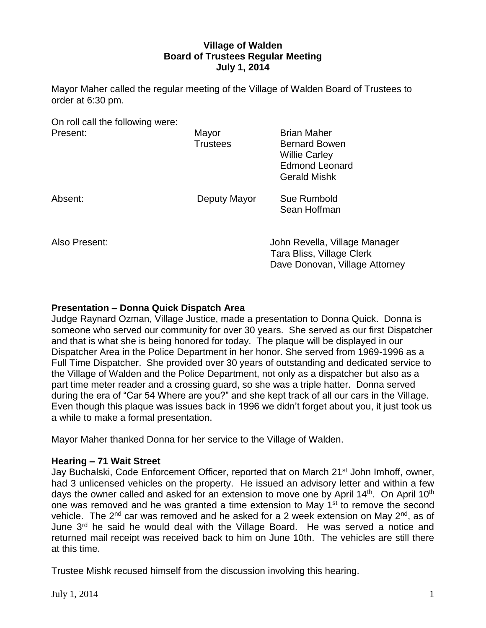# **Village of Walden Board of Trustees Regular Meeting July 1, 2014**

Mayor Maher called the regular meeting of the Village of Walden Board of Trustees to order at 6:30 pm.

| On roll call the following were: |                 |                                |
|----------------------------------|-----------------|--------------------------------|
| Present:                         | Mayor           | <b>Brian Maher</b>             |
|                                  | <b>Trustees</b> | <b>Bernard Bowen</b>           |
|                                  |                 | <b>Willie Carley</b>           |
|                                  |                 | <b>Edmond Leonard</b>          |
|                                  |                 | <b>Gerald Mishk</b>            |
| Absent:                          | Deputy Mayor    | Sue Rumbold                    |
|                                  |                 | Sean Hoffman                   |
|                                  |                 |                                |
|                                  |                 |                                |
| Also Present:                    |                 | John Revella, Village Manager  |
|                                  |                 | Tara Bliss, Village Clerk      |
|                                  |                 | Dave Donovan, Village Attorney |

# **Presentation – Donna Quick Dispatch Area**

Judge Raynard Ozman, Village Justice, made a presentation to Donna Quick. Donna is someone who served our community for over 30 years. She served as our first Dispatcher and that is what she is being honored for today. The plaque will be displayed in our Dispatcher Area in the Police Department in her honor. She served from 1969-1996 as a Full Time Dispatcher. She provided over 30 years of outstanding and dedicated service to the Village of Walden and the Police Department, not only as a dispatcher but also as a part time meter reader and a crossing guard, so she was a triple hatter. Donna served during the era of "Car 54 Where are you?" and she kept track of all our cars in the Village. Even though this plaque was issues back in 1996 we didn't forget about you, it just took us a while to make a formal presentation.

Mayor Maher thanked Donna for her service to the Village of Walden.

#### **Hearing – 71 Wait Street**

Jay Buchalski, Code Enforcement Officer, reported that on March 21st John Imhoff, owner, had 3 unlicensed vehicles on the property. He issued an advisory letter and within a few days the owner called and asked for an extension to move one by April  $14<sup>th</sup>$ . On April  $10<sup>th</sup>$ one was removed and he was granted a time extension to May 1<sup>st</sup> to remove the second vehicle. The 2<sup>nd</sup> car was removed and he asked for a 2 week extension on May 2<sup>nd</sup>, as of June 3<sup>rd</sup> he said he would deal with the Village Board. He was served a notice and returned mail receipt was received back to him on June 10th. The vehicles are still there at this time.

Trustee Mishk recused himself from the discussion involving this hearing.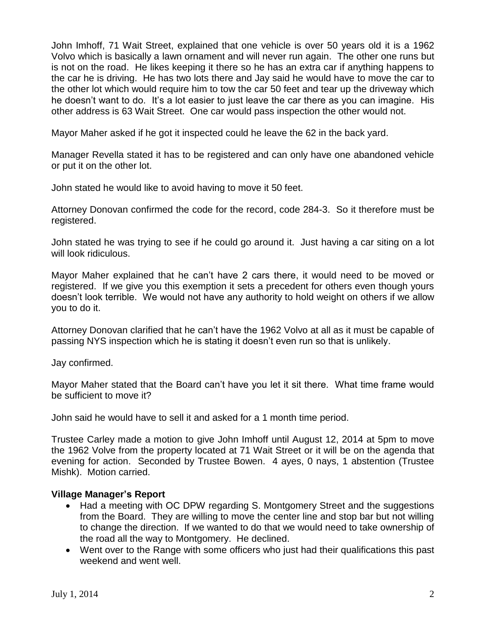John Imhoff, 71 Wait Street, explained that one vehicle is over 50 years old it is a 1962 Volvo which is basically a lawn ornament and will never run again. The other one runs but is not on the road. He likes keeping it there so he has an extra car if anything happens to the car he is driving. He has two lots there and Jay said he would have to move the car to the other lot which would require him to tow the car 50 feet and tear up the driveway which he doesn't want to do. It's a lot easier to just leave the car there as you can imagine. His other address is 63 Wait Street. One car would pass inspection the other would not.

Mayor Maher asked if he got it inspected could he leave the 62 in the back yard.

Manager Revella stated it has to be registered and can only have one abandoned vehicle or put it on the other lot.

John stated he would like to avoid having to move it 50 feet.

Attorney Donovan confirmed the code for the record, code 284-3. So it therefore must be registered.

John stated he was trying to see if he could go around it. Just having a car siting on a lot will look ridiculous.

Mayor Maher explained that he can't have 2 cars there, it would need to be moved or registered. If we give you this exemption it sets a precedent for others even though yours doesn't look terrible. We would not have any authority to hold weight on others if we allow you to do it.

Attorney Donovan clarified that he can't have the 1962 Volvo at all as it must be capable of passing NYS inspection which he is stating it doesn't even run so that is unlikely.

Jay confirmed.

Mayor Maher stated that the Board can't have you let it sit there. What time frame would be sufficient to move it?

John said he would have to sell it and asked for a 1 month time period.

Trustee Carley made a motion to give John Imhoff until August 12, 2014 at 5pm to move the 1962 Volve from the property located at 71 Wait Street or it will be on the agenda that evening for action. Seconded by Trustee Bowen. 4 ayes, 0 nays, 1 abstention (Trustee Mishk). Motion carried.

# **Village Manager's Report**

- Had a meeting with OC DPW regarding S. Montgomery Street and the suggestions from the Board. They are willing to move the center line and stop bar but not willing to change the direction. If we wanted to do that we would need to take ownership of the road all the way to Montgomery. He declined.
- Went over to the Range with some officers who just had their qualifications this past weekend and went well.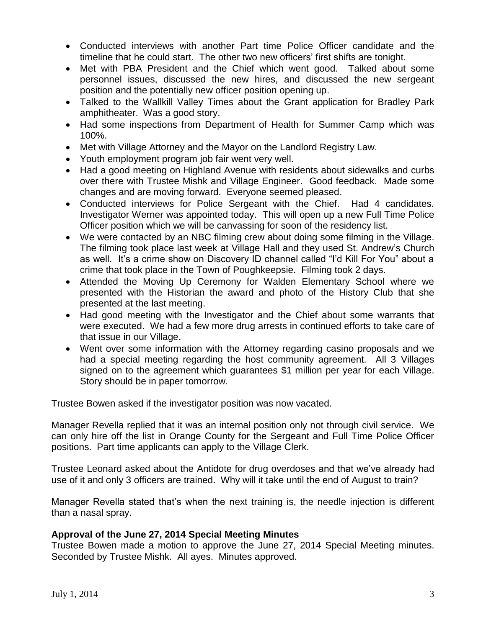- Conducted interviews with another Part time Police Officer candidate and the timeline that he could start. The other two new officers' first shifts are tonight.
- Met with PBA President and the Chief which went good. Talked about some personnel issues, discussed the new hires, and discussed the new sergeant position and the potentially new officer position opening up.
- Talked to the Wallkill Valley Times about the Grant application for Bradley Park amphitheater. Was a good story.
- Had some inspections from Department of Health for Summer Camp which was 100%.
- Met with Village Attorney and the Mayor on the Landlord Registry Law.
- Youth employment program job fair went very well.
- Had a good meeting on Highland Avenue with residents about sidewalks and curbs over there with Trustee Mishk and Village Engineer. Good feedback. Made some changes and are moving forward. Everyone seemed pleased.
- Conducted interviews for Police Sergeant with the Chief. Had 4 candidates. Investigator Werner was appointed today. This will open up a new Full Time Police Officer position which we will be canvassing for soon of the residency list.
- We were contacted by an NBC filming crew about doing some filming in the Village. The filming took place last week at Village Hall and they used St. Andrew's Church as well. It's a crime show on Discovery ID channel called "I'd Kill For You" about a crime that took place in the Town of Poughkeepsie. Filming took 2 days.
- Attended the Moving Up Ceremony for Walden Elementary School where we presented with the Historian the award and photo of the History Club that she presented at the last meeting.
- Had good meeting with the Investigator and the Chief about some warrants that were executed. We had a few more drug arrests in continued efforts to take care of that issue in our Village.
- Went over some information with the Attorney regarding casino proposals and we had a special meeting regarding the host community agreement. All 3 Villages signed on to the agreement which guarantees \$1 million per year for each Village. Story should be in paper tomorrow.

Trustee Bowen asked if the investigator position was now vacated.

Manager Revella replied that it was an internal position only not through civil service. We can only hire off the list in Orange County for the Sergeant and Full Time Police Officer positions. Part time applicants can apply to the Village Clerk.

Trustee Leonard asked about the Antidote for drug overdoses and that we've already had use of it and only 3 officers are trained. Why will it take until the end of August to train?

Manager Revella stated that's when the next training is, the needle injection is different than a nasal spray.

# **Approval of the June 27, 2014 Special Meeting Minutes**

Trustee Bowen made a motion to approve the June 27, 2014 Special Meeting minutes. Seconded by Trustee Mishk. All ayes. Minutes approved.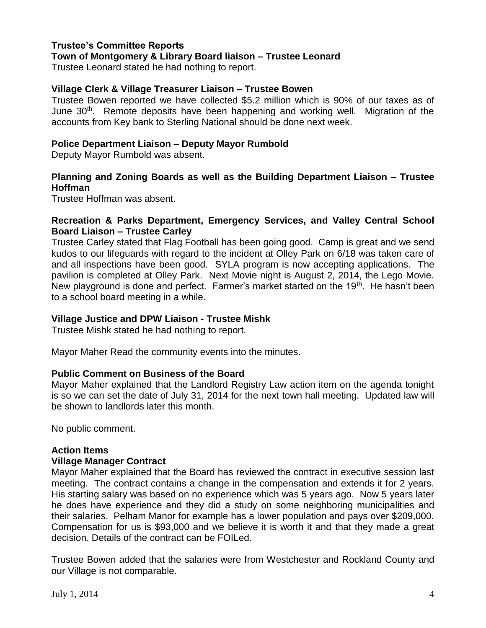# **Trustee's Committee Reports**

**Town of Montgomery & Library Board liaison – Trustee Leonard**

Trustee Leonard stated he had nothing to report.

# **Village Clerk & Village Treasurer Liaison – Trustee Bowen**

Trustee Bowen reported we have collected \$5.2 million which is 90% of our taxes as of June 30<sup>th</sup>. Remote deposits have been happening and working well. Migration of the accounts from Key bank to Sterling National should be done next week.

# **Police Department Liaison – Deputy Mayor Rumbold**

Deputy Mayor Rumbold was absent.

# **Planning and Zoning Boards as well as the Building Department Liaison – Trustee Hoffman**

Trustee Hoffman was absent.

# **Recreation & Parks Department, Emergency Services, and Valley Central School Board Liaison – Trustee Carley**

Trustee Carley stated that Flag Football has been going good. Camp is great and we send kudos to our lifeguards with regard to the incident at Olley Park on 6/18 was taken care of and all inspections have been good. SYLA program is now accepting applications. The pavilion is completed at Olley Park. Next Movie night is August 2, 2014, the Lego Movie. New playground is done and perfect. Farmer's market started on the 19<sup>th</sup>. He hasn't been to a school board meeting in a while.

# **Village Justice and DPW Liaison - Trustee Mishk**

Trustee Mishk stated he had nothing to report.

Mayor Maher Read the community events into the minutes.

# **Public Comment on Business of the Board**

Mayor Maher explained that the Landlord Registry Law action item on the agenda tonight is so we can set the date of July 31, 2014 for the next town hall meeting. Updated law will be shown to landlords later this month.

No public comment.

# **Action Items**

# **Village Manager Contract**

Mayor Maher explained that the Board has reviewed the contract in executive session last meeting. The contract contains a change in the compensation and extends it for 2 years. His starting salary was based on no experience which was 5 years ago. Now 5 years later he does have experience and they did a study on some neighboring municipalities and their salaries. Pelham Manor for example has a lower population and pays over \$209,000. Compensation for us is \$93,000 and we believe it is worth it and that they made a great decision. Details of the contract can be FOILed.

Trustee Bowen added that the salaries were from Westchester and Rockland County and our Village is not comparable.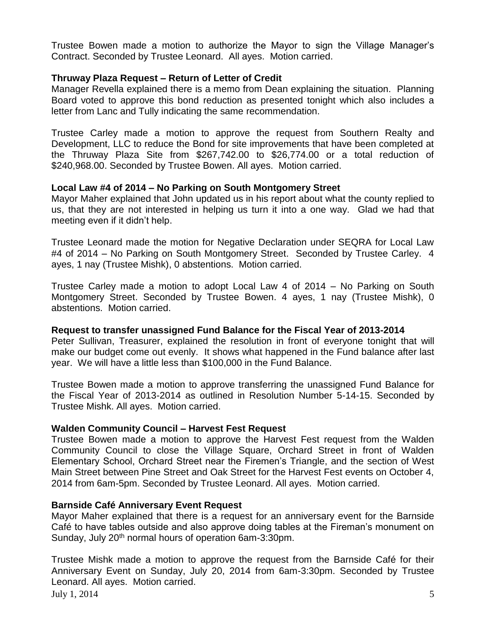Trustee Bowen made a motion to authorize the Mayor to sign the Village Manager's Contract. Seconded by Trustee Leonard. All ayes. Motion carried.

# **Thruway Plaza Request – Return of Letter of Credit**

Manager Revella explained there is a memo from Dean explaining the situation. Planning Board voted to approve this bond reduction as presented tonight which also includes a letter from Lanc and Tully indicating the same recommendation.

Trustee Carley made a motion to approve the request from Southern Realty and Development, LLC to reduce the Bond for site improvements that have been completed at the Thruway Plaza Site from \$267,742.00 to \$26,774.00 or a total reduction of \$240,968.00. Seconded by Trustee Bowen. All ayes. Motion carried.

# **Local Law #4 of 2014 – No Parking on South Montgomery Street**

Mayor Maher explained that John updated us in his report about what the county replied to us, that they are not interested in helping us turn it into a one way. Glad we had that meeting even if it didn't help.

Trustee Leonard made the motion for Negative Declaration under SEQRA for Local Law #4 of 2014 – No Parking on South Montgomery Street. Seconded by Trustee Carley. 4 ayes, 1 nay (Trustee Mishk), 0 abstentions. Motion carried.

Trustee Carley made a motion to adopt Local Law 4 of 2014 – No Parking on South Montgomery Street. Seconded by Trustee Bowen. 4 ayes, 1 nay (Trustee Mishk), 0 abstentions. Motion carried.

# **Request to transfer unassigned Fund Balance for the Fiscal Year of 2013-2014**

Peter Sullivan, Treasurer, explained the resolution in front of everyone tonight that will make our budget come out evenly. It shows what happened in the Fund balance after last year. We will have a little less than \$100,000 in the Fund Balance.

Trustee Bowen made a motion to approve transferring the unassigned Fund Balance for the Fiscal Year of 2013-2014 as outlined in Resolution Number 5-14-15. Seconded by Trustee Mishk. All ayes. Motion carried.

# **Walden Community Council – Harvest Fest Request**

Trustee Bowen made a motion to approve the Harvest Fest request from the Walden Community Council to close the Village Square, Orchard Street in front of Walden Elementary School, Orchard Street near the Firemen's Triangle, and the section of West Main Street between Pine Street and Oak Street for the Harvest Fest events on October 4, 2014 from 6am-5pm. Seconded by Trustee Leonard. All ayes. Motion carried.

# **Barnside Café Anniversary Event Request**

Mayor Maher explained that there is a request for an anniversary event for the Barnside Café to have tables outside and also approve doing tables at the Fireman's monument on Sunday, July 20<sup>th</sup> normal hours of operation 6am-3:30pm.

July 1, 2014  $\frac{5}{5}$ Trustee Mishk made a motion to approve the request from the Barnside Café for their Anniversary Event on Sunday, July 20, 2014 from 6am-3:30pm. Seconded by Trustee Leonard. All ayes. Motion carried.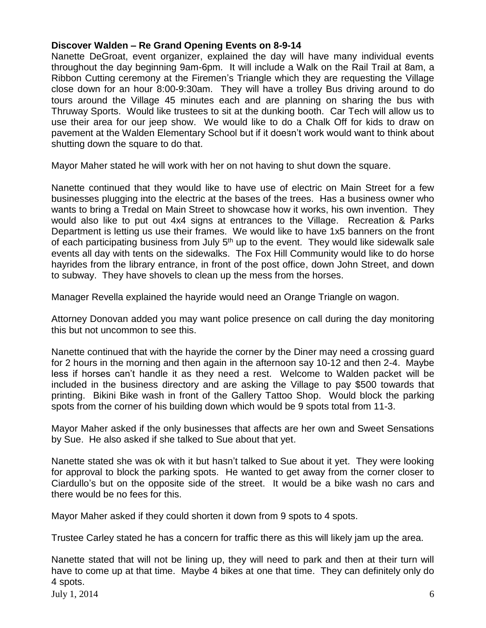# **Discover Walden – Re Grand Opening Events on 8-9-14**

Nanette DeGroat, event organizer, explained the day will have many individual events throughout the day beginning 9am-6pm. It will include a Walk on the Rail Trail at 8am, a Ribbon Cutting ceremony at the Firemen's Triangle which they are requesting the Village close down for an hour 8:00-9:30am. They will have a trolley Bus driving around to do tours around the Village 45 minutes each and are planning on sharing the bus with Thruway Sports. Would like trustees to sit at the dunking booth. Car Tech will allow us to use their area for our jeep show. We would like to do a Chalk Off for kids to draw on pavement at the Walden Elementary School but if it doesn't work would want to think about shutting down the square to do that.

Mayor Maher stated he will work with her on not having to shut down the square.

Nanette continued that they would like to have use of electric on Main Street for a few businesses plugging into the electric at the bases of the trees. Has a business owner who wants to bring a Tredal on Main Street to showcase how it works, his own invention. They would also like to put out 4x4 signs at entrances to the Village. Recreation & Parks Department is letting us use their frames. We would like to have 1x5 banners on the front of each participating business from July 5<sup>th</sup> up to the event. They would like sidewalk sale events all day with tents on the sidewalks. The Fox Hill Community would like to do horse hayrides from the library entrance, in front of the post office, down John Street, and down to subway. They have shovels to clean up the mess from the horses.

Manager Revella explained the hayride would need an Orange Triangle on wagon.

Attorney Donovan added you may want police presence on call during the day monitoring this but not uncommon to see this.

Nanette continued that with the hayride the corner by the Diner may need a crossing guard for 2 hours in the morning and then again in the afternoon say 10-12 and then 2-4. Maybe less if horses can't handle it as they need a rest. Welcome to Walden packet will be included in the business directory and are asking the Village to pay \$500 towards that printing. Bikini Bike wash in front of the Gallery Tattoo Shop. Would block the parking spots from the corner of his building down which would be 9 spots total from 11-3.

Mayor Maher asked if the only businesses that affects are her own and Sweet Sensations by Sue. He also asked if she talked to Sue about that yet.

Nanette stated she was ok with it but hasn't talked to Sue about it yet. They were looking for approval to block the parking spots. He wanted to get away from the corner closer to Ciardullo's but on the opposite side of the street. It would be a bike wash no cars and there would be no fees for this.

Mayor Maher asked if they could shorten it down from 9 spots to 4 spots.

Trustee Carley stated he has a concern for traffic there as this will likely jam up the area.

July 1, 2014  $\qquad \qquad 6$ Nanette stated that will not be lining up, they will need to park and then at their turn will have to come up at that time. Maybe 4 bikes at one that time. They can definitely only do 4 spots.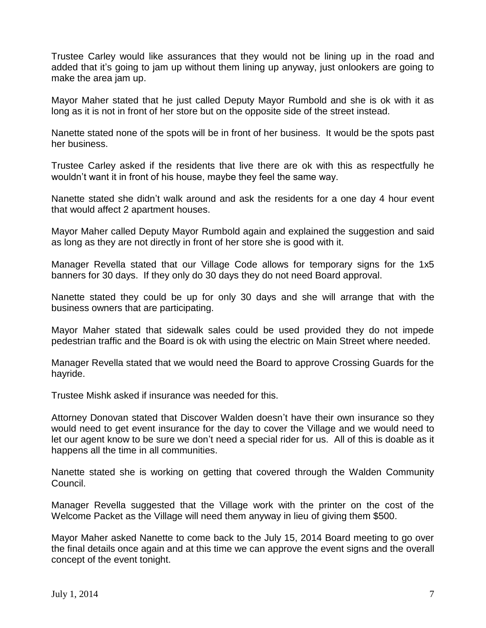Trustee Carley would like assurances that they would not be lining up in the road and added that it's going to jam up without them lining up anyway, just onlookers are going to make the area jam up.

Mayor Maher stated that he just called Deputy Mayor Rumbold and she is ok with it as long as it is not in front of her store but on the opposite side of the street instead.

Nanette stated none of the spots will be in front of her business. It would be the spots past her business.

Trustee Carley asked if the residents that live there are ok with this as respectfully he wouldn't want it in front of his house, maybe they feel the same way.

Nanette stated she didn't walk around and ask the residents for a one day 4 hour event that would affect 2 apartment houses.

Mayor Maher called Deputy Mayor Rumbold again and explained the suggestion and said as long as they are not directly in front of her store she is good with it.

Manager Revella stated that our Village Code allows for temporary signs for the 1x5 banners for 30 days. If they only do 30 days they do not need Board approval.

Nanette stated they could be up for only 30 days and she will arrange that with the business owners that are participating.

Mayor Maher stated that sidewalk sales could be used provided they do not impede pedestrian traffic and the Board is ok with using the electric on Main Street where needed.

Manager Revella stated that we would need the Board to approve Crossing Guards for the hayride.

Trustee Mishk asked if insurance was needed for this.

Attorney Donovan stated that Discover Walden doesn't have their own insurance so they would need to get event insurance for the day to cover the Village and we would need to let our agent know to be sure we don't need a special rider for us. All of this is doable as it happens all the time in all communities.

Nanette stated she is working on getting that covered through the Walden Community Council.

Manager Revella suggested that the Village work with the printer on the cost of the Welcome Packet as the Village will need them anyway in lieu of giving them \$500.

Mayor Maher asked Nanette to come back to the July 15, 2014 Board meeting to go over the final details once again and at this time we can approve the event signs and the overall concept of the event tonight.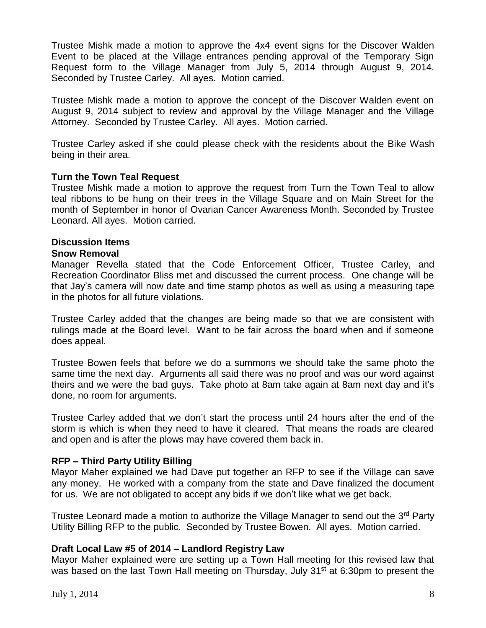Trustee Mishk made a motion to approve the 4x4 event signs for the Discover Walden Event to be placed at the Village entrances pending approval of the Temporary Sign Request form to the Village Manager from July 5, 2014 through August 9, 2014. Seconded by Trustee Carley. All ayes. Motion carried.

Trustee Mishk made a motion to approve the concept of the Discover Walden event on August 9, 2014 subject to review and approval by the Village Manager and the Village Attorney. Seconded by Trustee Carley. All ayes. Motion carried.

Trustee Carley asked if she could please check with the residents about the Bike Wash being in their area.

### **Turn the Town Teal Request**

Trustee Mishk made a motion to approve the request from Turn the Town Teal to allow teal ribbons to be hung on their trees in the Village Square and on Main Street for the month of September in honor of Ovarian Cancer Awareness Month. Seconded by Trustee Leonard. All ayes. Motion carried.

### **Discussion Items**

#### **Snow Removal**

Manager Revella stated that the Code Enforcement Officer, Trustee Carley, and Recreation Coordinator Bliss met and discussed the current process. One change will be that Jay's camera will now date and time stamp photos as well as using a measuring tape in the photos for all future violations.

Trustee Carley added that the changes are being made so that we are consistent with rulings made at the Board level. Want to be fair across the board when and if someone does appeal.

Trustee Bowen feels that before we do a summons we should take the same photo the same time the next day. Arguments all said there was no proof and was our word against theirs and we were the bad guys. Take photo at 8am take again at 8am next day and it's done, no room for arguments.

Trustee Carley added that we don't start the process until 24 hours after the end of the storm is which is when they need to have it cleared. That means the roads are cleared and open and is after the plows may have covered them back in.

#### **RFP – Third Party Utility Billing**

Mayor Maher explained we had Dave put together an RFP to see if the Village can save any money. He worked with a company from the state and Dave finalized the document for us. We are not obligated to accept any bids if we don't like what we get back.

Trustee Leonard made a motion to authorize the Village Manager to send out the 3<sup>rd</sup> Party Utility Billing RFP to the public. Seconded by Trustee Bowen. All ayes. Motion carried.

#### **Draft Local Law #5 of 2014 – Landlord Registry Law**

Mayor Maher explained were are setting up a Town Hall meeting for this revised law that was based on the last Town Hall meeting on Thursday, July 31<sup>st</sup> at 6:30pm to present the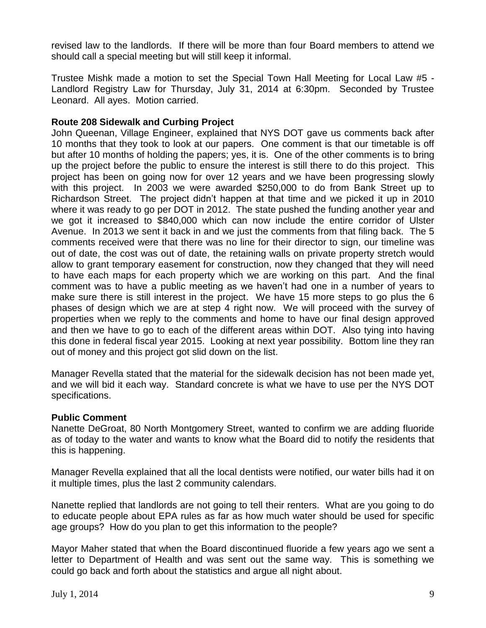revised law to the landlords. If there will be more than four Board members to attend we should call a special meeting but will still keep it informal.

Trustee Mishk made a motion to set the Special Town Hall Meeting for Local Law #5 - Landlord Registry Law for Thursday, July 31, 2014 at 6:30pm. Seconded by Trustee Leonard. All ayes. Motion carried.

# **Route 208 Sidewalk and Curbing Project**

John Queenan, Village Engineer, explained that NYS DOT gave us comments back after 10 months that they took to look at our papers. One comment is that our timetable is off but after 10 months of holding the papers; yes, it is. One of the other comments is to bring up the project before the public to ensure the interest is still there to do this project. This project has been on going now for over 12 years and we have been progressing slowly with this project. In 2003 we were awarded \$250,000 to do from Bank Street up to Richardson Street. The project didn't happen at that time and we picked it up in 2010 where it was ready to go per DOT in 2012. The state pushed the funding another year and we got it increased to \$840,000 which can now include the entire corridor of Ulster Avenue. In 2013 we sent it back in and we just the comments from that filing back. The 5 comments received were that there was no line for their director to sign, our timeline was out of date, the cost was out of date, the retaining walls on private property stretch would allow to grant temporary easement for construction, now they changed that they will need to have each maps for each property which we are working on this part. And the final comment was to have a public meeting as we haven't had one in a number of years to make sure there is still interest in the project. We have 15 more steps to go plus the 6 phases of design which we are at step 4 right now. We will proceed with the survey of properties when we reply to the comments and home to have our final design approved and then we have to go to each of the different areas within DOT. Also tying into having this done in federal fiscal year 2015. Looking at next year possibility. Bottom line they ran out of money and this project got slid down on the list.

Manager Revella stated that the material for the sidewalk decision has not been made yet, and we will bid it each way. Standard concrete is what we have to use per the NYS DOT specifications.

# **Public Comment**

Nanette DeGroat, 80 North Montgomery Street, wanted to confirm we are adding fluoride as of today to the water and wants to know what the Board did to notify the residents that this is happening.

Manager Revella explained that all the local dentists were notified, our water bills had it on it multiple times, plus the last 2 community calendars.

Nanette replied that landlords are not going to tell their renters. What are you going to do to educate people about EPA rules as far as how much water should be used for specific age groups? How do you plan to get this information to the people?

Mayor Maher stated that when the Board discontinued fluoride a few years ago we sent a letter to Department of Health and was sent out the same way. This is something we could go back and forth about the statistics and argue all night about.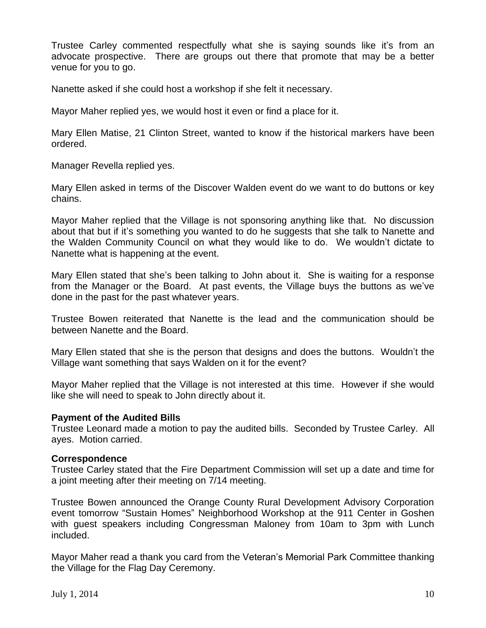Trustee Carley commented respectfully what she is saying sounds like it's from an advocate prospective. There are groups out there that promote that may be a better venue for you to go.

Nanette asked if she could host a workshop if she felt it necessary.

Mayor Maher replied yes, we would host it even or find a place for it.

Mary Ellen Matise, 21 Clinton Street, wanted to know if the historical markers have been ordered.

Manager Revella replied yes.

Mary Ellen asked in terms of the Discover Walden event do we want to do buttons or key chains.

Mayor Maher replied that the Village is not sponsoring anything like that. No discussion about that but if it's something you wanted to do he suggests that she talk to Nanette and the Walden Community Council on what they would like to do. We wouldn't dictate to Nanette what is happening at the event.

Mary Ellen stated that she's been talking to John about it. She is waiting for a response from the Manager or the Board. At past events, the Village buys the buttons as we've done in the past for the past whatever years.

Trustee Bowen reiterated that Nanette is the lead and the communication should be between Nanette and the Board.

Mary Ellen stated that she is the person that designs and does the buttons. Wouldn't the Village want something that says Walden on it for the event?

Mayor Maher replied that the Village is not interested at this time. However if she would like she will need to speak to John directly about it.

#### **Payment of the Audited Bills**

Trustee Leonard made a motion to pay the audited bills. Seconded by Trustee Carley. All ayes. Motion carried.

#### **Correspondence**

Trustee Carley stated that the Fire Department Commission will set up a date and time for a joint meeting after their meeting on 7/14 meeting.

Trustee Bowen announced the Orange County Rural Development Advisory Corporation event tomorrow "Sustain Homes" Neighborhood Workshop at the 911 Center in Goshen with guest speakers including Congressman Maloney from 10am to 3pm with Lunch included.

Mayor Maher read a thank you card from the Veteran's Memorial Park Committee thanking the Village for the Flag Day Ceremony.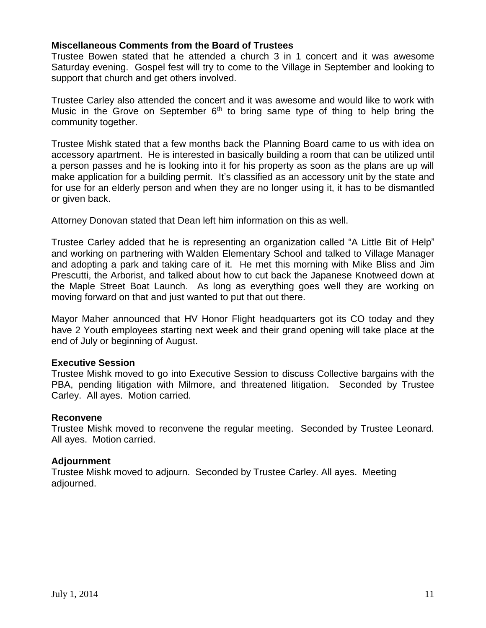### **Miscellaneous Comments from the Board of Trustees**

Trustee Bowen stated that he attended a church 3 in 1 concert and it was awesome Saturday evening. Gospel fest will try to come to the Village in September and looking to support that church and get others involved.

Trustee Carley also attended the concert and it was awesome and would like to work with Music in the Grove on September  $6<sup>th</sup>$  to bring same type of thing to help bring the community together.

Trustee Mishk stated that a few months back the Planning Board came to us with idea on accessory apartment. He is interested in basically building a room that can be utilized until a person passes and he is looking into it for his property as soon as the plans are up will make application for a building permit. It's classified as an accessory unit by the state and for use for an elderly person and when they are no longer using it, it has to be dismantled or given back.

Attorney Donovan stated that Dean left him information on this as well.

Trustee Carley added that he is representing an organization called "A Little Bit of Help" and working on partnering with Walden Elementary School and talked to Village Manager and adopting a park and taking care of it. He met this morning with Mike Bliss and Jim Prescutti, the Arborist, and talked about how to cut back the Japanese Knotweed down at the Maple Street Boat Launch. As long as everything goes well they are working on moving forward on that and just wanted to put that out there.

Mayor Maher announced that HV Honor Flight headquarters got its CO today and they have 2 Youth employees starting next week and their grand opening will take place at the end of July or beginning of August.

#### **Executive Session**

Trustee Mishk moved to go into Executive Session to discuss Collective bargains with the PBA, pending litigation with Milmore, and threatened litigation. Seconded by Trustee Carley. All ayes. Motion carried.

#### **Reconvene**

Trustee Mishk moved to reconvene the regular meeting. Seconded by Trustee Leonard. All ayes. Motion carried.

#### **Adjournment**

Trustee Mishk moved to adjourn. Seconded by Trustee Carley. All ayes. Meeting adjourned.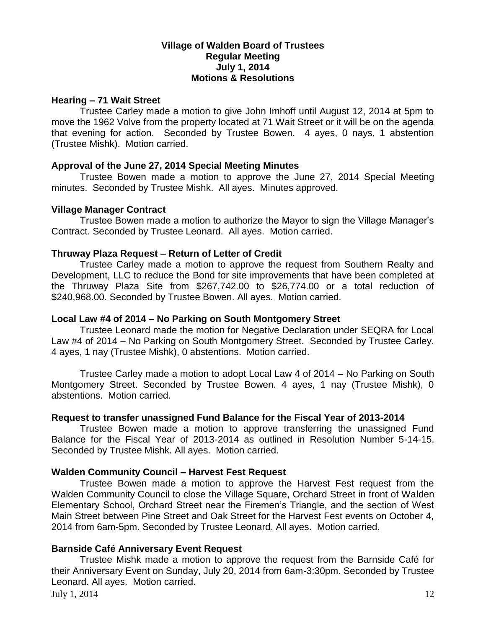### **Village of Walden Board of Trustees Regular Meeting July 1, 2014 Motions & Resolutions**

### **Hearing – 71 Wait Street**

Trustee Carley made a motion to give John Imhoff until August 12, 2014 at 5pm to move the 1962 Volve from the property located at 71 Wait Street or it will be on the agenda that evening for action. Seconded by Trustee Bowen. 4 ayes, 0 nays, 1 abstention (Trustee Mishk). Motion carried.

### **Approval of the June 27, 2014 Special Meeting Minutes**

Trustee Bowen made a motion to approve the June 27, 2014 Special Meeting minutes. Seconded by Trustee Mishk. All ayes. Minutes approved.

### **Village Manager Contract**

Trustee Bowen made a motion to authorize the Mayor to sign the Village Manager's Contract. Seconded by Trustee Leonard. All ayes. Motion carried.

### **Thruway Plaza Request – Return of Letter of Credit**

Trustee Carley made a motion to approve the request from Southern Realty and Development, LLC to reduce the Bond for site improvements that have been completed at the Thruway Plaza Site from \$267,742.00 to \$26,774.00 or a total reduction of \$240,968.00. Seconded by Trustee Bowen. All ayes. Motion carried.

#### **Local Law #4 of 2014 – No Parking on South Montgomery Street**

Trustee Leonard made the motion for Negative Declaration under SEQRA for Local Law #4 of 2014 – No Parking on South Montgomery Street. Seconded by Trustee Carley. 4 ayes, 1 nay (Trustee Mishk), 0 abstentions. Motion carried.

Trustee Carley made a motion to adopt Local Law 4 of 2014 – No Parking on South Montgomery Street. Seconded by Trustee Bowen. 4 ayes, 1 nay (Trustee Mishk), 0 abstentions. Motion carried.

# **Request to transfer unassigned Fund Balance for the Fiscal Year of 2013-2014**

Trustee Bowen made a motion to approve transferring the unassigned Fund Balance for the Fiscal Year of 2013-2014 as outlined in Resolution Number 5-14-15. Seconded by Trustee Mishk. All ayes. Motion carried.

# **Walden Community Council – Harvest Fest Request**

Trustee Bowen made a motion to approve the Harvest Fest request from the Walden Community Council to close the Village Square, Orchard Street in front of Walden Elementary School, Orchard Street near the Firemen's Triangle, and the section of West Main Street between Pine Street and Oak Street for the Harvest Fest events on October 4, 2014 from 6am-5pm. Seconded by Trustee Leonard. All ayes. Motion carried.

# **Barnside Café Anniversary Event Request**

July 1, 2014 12 Trustee Mishk made a motion to approve the request from the Barnside Café for their Anniversary Event on Sunday, July 20, 2014 from 6am-3:30pm. Seconded by Trustee Leonard. All ayes. Motion carried.